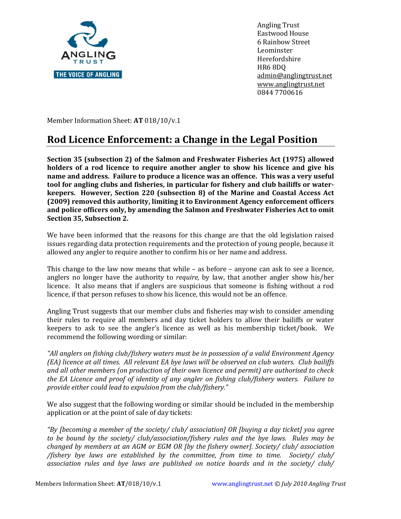

Angling Trust Eastwood House 6 Rainbow Street Leominster Herefordshire HR6 8DQ [admin@anglingtrust.net](mailto:admin@anglingtrust.net) [www.anglingtrust.net](http://www.anglingtrust.net/) 0844 7700616

Member Information Sheet: **AT** 018/10/v.1

## **Rod Licence Enforcement: a Change in the Legal Position**

**Section 35 (subsection 2) of the Salmon and Freshwater Fisheries Act (1975) allowed holders of a rod licence to require another angler to show his licence and give his name and address. Failure to produce a licence was an offence. This was a very useful tool for angling clubs and fisheries, in particular for fishery and club bailiffs or waterkeepers. However, Section 220 (subsection 8) of the Marine and Coastal Access Act (2009) removed this authority, limiting it to Environment Agency enforcement officers and police officers only, by amending the Salmon and Freshwater Fisheries Act to omit Section 35, Subsection 2.** 

We have been informed that the reasons for this change are that the old legislation raised issues regarding data protection requirements and the protection of young people, because it allowed any angler to require another to confirm his or her name and address.

This change to the law now means that while – as before – anyone can ask to see a licence, anglers no longer have the authority to *require,* by law, that another angler show his/her licence. It also means that if anglers are suspicious that someone is fishing without a rod licence, if that person refuses to show his licence, this would not be an offence.

Angling Trust suggests that our member clubs and fisheries may wish to consider amending their rules to require all members and day ticket holders to allow their bailiffs or water keepers to ask to see the angler's licence as well as his membership ticket/book. We recommend the following wording or similar:

*"All anglers on fishing club/fishery waters must be in possession of a valid Environment Agency (EA) licence at all times. All relevant EA bye laws will be observed on club waters. Club bailiffs and all other members (on production of their own licence and permit) are authorised to check the EA Licence and proof of identity of any angler on fishing club/fishery waters. Failure to provide either could lead to expulsion from the club/fishery."* 

We also suggest that the following wording or similar should be included in the membership application or at the point of sale of day tickets:

*"By [becoming a member of the society/ club/ association] OR [buying a day ticket] you agree to be bound by the society/ club/association/fishery rules and the bye laws. Rules may be changed by members at an AGM or EGM OR [by the fishery owner]. Society/ club/ association /fishery bye laws are established by the committee, from time to time. Society/ club/ association rules and bye laws are published on notice boards and in the society/ club/*